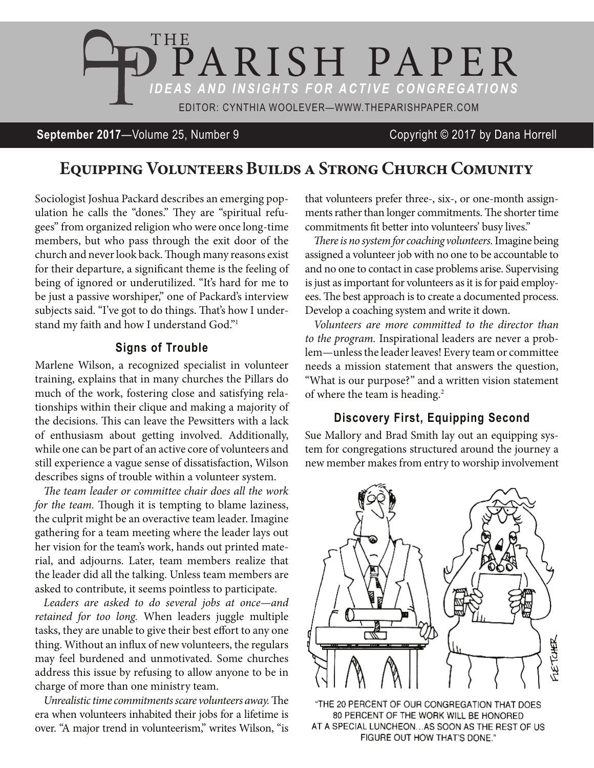

#### **September 2017**—Volume 25, Number 9 Copyright © 2017 by Dana Horrell

# **Equipping Volunteers Builds a Strong Church Comunity**

Sociologist Joshua Packard describes an emerging population he calls the "dones." They are "spiritual refugees" from organized religion who were once long-time members, but who pass through the exit door of the church and never look back. Though many reasons exist for their departure, a significant theme is the feeling of being of ignored or underutilized. "It's hard for me to be just a passive worshiper," one of Packard's interview subjects said. "I've got to do things. That's how I understand my faith and how I understand God."1

### **Signs of Trouble**

Marlene Wilson, a recognized specialist in volunteer training, explains that in many churches the Pillars do much of the work, fostering close and satisfying relationships within their clique and making a majority of the decisions. This can leave the Pewsitters with a lack of enthusiasm about getting involved. Additionally, while one can be part of an active core of volunteers and still experience a vague sense of dissatisfaction, Wilson describes signs of trouble within a volunteer system.

*The team leader or committee chair does all the work for the team.* Though it is tempting to blame laziness, the culprit might be an overactive team leader. Imagine gathering for a team meeting where the leader lays out her vision for the team's work, hands out printed material, and adjourns. Later, team members realize that the leader did all the talking. Unless team members are asked to contribute, it seems pointless to participate.

*Leaders are asked to do several jobs at once—and retained for too long.* When leaders juggle multiple tasks, they are unable to give their best effort to any one thing. Without an influx of new volunteers, the regulars may feel burdened and unmotivated. Some churches address this issue by refusing to allow anyone to be in charge of more than one ministry team.

*Unrealistic time commitments scare volunteers away.* The era when volunteers inhabited their jobs for a lifetime is over. "A major trend in volunteerism," writes Wilson, "is that volunteers prefer three-, six-, or one-month assignments rather than longer commitments. The shorter time commitments fit better into volunteers' busy lives."

*There is no system for coaching volunteers.* Imagine being assigned a volunteer job with no one to be accountable to and no one to contact in case problems arise. Supervising is just as important for volunteers as it is for paid employees. The best approach is to create a documented process. Develop a coaching system and write it down.

*Volunteers are more committed to the director than to the program.* Inspirational leaders are never a problem—unless the leader leaves! Every team or committee needs a mission statement that answers the question, "What is our purpose?" and a written vision statement of where the team is heading.2

#### **Discovery First, Equipping Second**

Sue Mallory and Brad Smith lay out an equipping system for congregations structured around the journey a new member makes from entry to worship involvement



"THE 20 PERCENT OF OUR CONGREGATION THAT DOES 80 PERCENT OF THE WORK WILL BE HONORED AT A SPECIAL LUNCHEON...AS SOON AS THE REST OF US FIGURE OUT HOW THAT'S DONE."